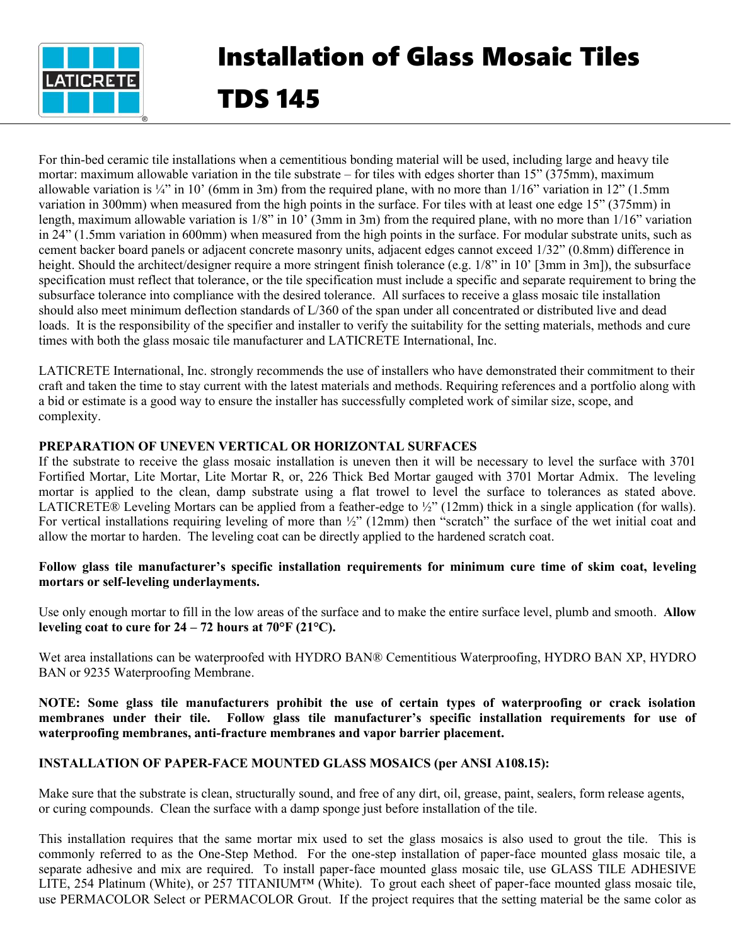

# Installation of Glass Mosaic Tiles TDS 145

For thin-bed ceramic tile installations when a cementitious bonding material will be used, including large and heavy tile mortar: maximum allowable variation in the tile substrate – for tiles with edges shorter than 15" (375mm), maximum allowable variation is  $\frac{1}{4}$  in 10' (6mm in 3m) from the required plane, with no more than  $\frac{1}{16}$  variation in 12" (1.5mm) variation in 300mm) when measured from the high points in the surface. For tiles with at least one edge 15" (375mm) in length, maximum allowable variation is  $1/8$ " in  $10'$  (3mm in 3m) from the required plane, with no more than  $1/16$ " variation in 24" (1.5mm variation in 600mm) when measured from the high points in the surface. For modular substrate units, such as cement backer board panels or adjacent concrete masonry units, adjacent edges cannot exceed 1/32" (0.8mm) difference in height. Should the architect/designer require a more stringent finish tolerance (e.g. 1/8" in 10' [3mm in 3m]), the subsurface specification must reflect that tolerance, or the tile specification must include a specific and separate requirement to bring the subsurface tolerance into compliance with the desired tolerance. All surfaces to receive a glass mosaic tile installation should also meet minimum deflection standards of L/360 of the span under all concentrated or distributed live and dead loads. It is the responsibility of the specifier and installer to verify the suitability for the setting materials, methods and cure times with both the glass mosaic tile manufacturer and LATICRETE International, Inc.

LATICRETE International, Inc. strongly recommends the use of installers who have demonstrated their commitment to their craft and taken the time to stay current with the latest materials and methods. Requiring references and a portfolio along with a bid or estimate is a good way to ensure the installer has successfully completed work of similar size, scope, and complexity.

## **PREPARATION OF UNEVEN VERTICAL OR HORIZONTAL SURFACES**

If the substrate to receive the glass mosaic installation is uneven then it will be necessary to level the surface with 3701 Fortified Mortar, Lite Mortar, Lite Mortar R, or, 226 Thick Bed Mortar gauged with 3701 Mortar Admix. The leveling mortar is applied to the clean, damp substrate using a flat trowel to level the surface to tolerances as stated above. LATICRETE® Leveling Mortars can be applied from a feather-edge to ½" (12mm) thick in a single application (for walls). For vertical installations requiring leveling of more than  $\frac{1}{2}$ " (12mm) then "scratch" the surface of the wet initial coat and allow the mortar to harden. The leveling coat can be directly applied to the hardened scratch coat.

#### **Follow glass tile manufacturer's specific installation requirements for minimum cure time of skim coat, leveling mortars or self-leveling underlayments.**

Use only enough mortar to fill in the low areas of the surface and to make the entire surface level, plumb and smooth. **Allow leveling coat to cure for**  $24 - 72$  **hours at**  $70^{\circ}$  **F (** $21^{\circ}$ **C).** 

Wet area installations can be waterproofed with HYDRO BAN® Cementitious Waterproofing, HYDRO BAN XP, HYDRO BAN or 9235 Waterproofing Membrane.

**NOTE: Some glass tile manufacturers prohibit the use of certain types of waterproofing or crack isolation membranes under their tile. Follow glass tile manufacturer's specific installation requirements for use of waterproofing membranes, anti-fracture membranes and vapor barrier placement.**

## **INSTALLATION OF PAPER-FACE MOUNTED GLASS MOSAICS (per ANSI A108.15):**

Make sure that the substrate is clean, structurally sound, and free of any dirt, oil, grease, paint, sealers, form release agents, or curing compounds. Clean the surface with a damp sponge just before installation of the tile.

This installation requires that the same mortar mix used to set the glass mosaics is also used to grout the tile. This is commonly referred to as the One-Step Method. For the one-step installation of paper-face mounted glass mosaic tile, a separate adhesive and mix are required. To install paper-face mounted glass mosaic tile, use GLASS TILE ADHESIVE LITE, 254 Platinum (White), or 257 TITANIUM™ (White). To grout each sheet of paper-face mounted glass mosaic tile, use PERMACOLOR Select or PERMACOLOR Grout. If the project requires that the setting material be the same color as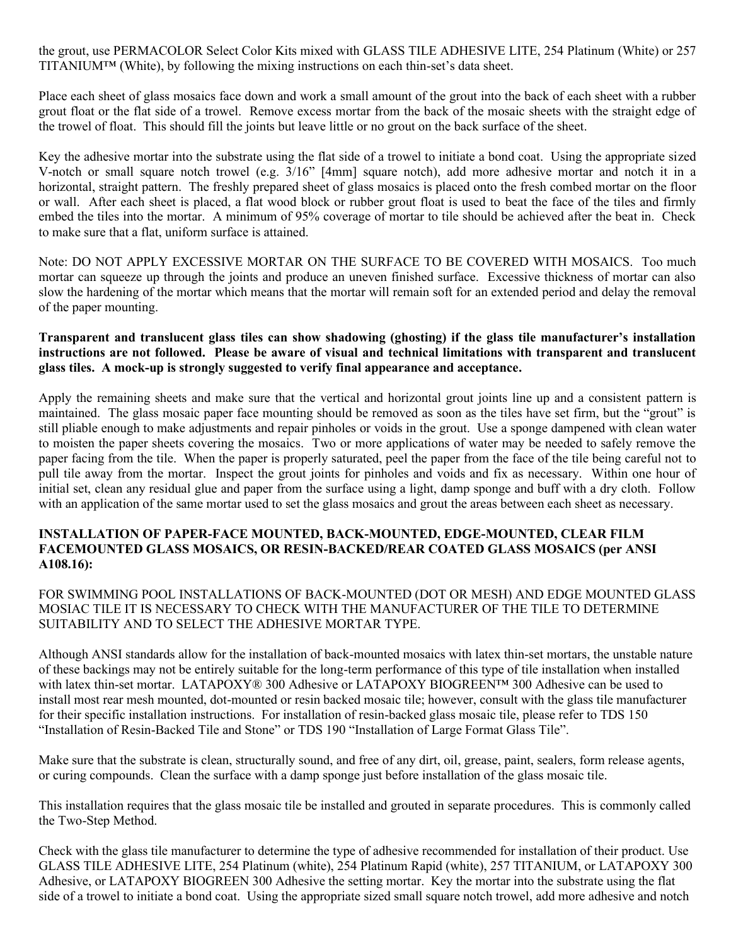the grout, use PERMACOLOR Select Color Kits mixed with GLASS TILE ADHESIVE LITE, 254 Platinum (White) or 257 TITANIUM™ (White), by following the mixing instructions on each thin-set's data sheet.

Place each sheet of glass mosaics face down and work a small amount of the grout into the back of each sheet with a rubber grout float or the flat side of a trowel. Remove excess mortar from the back of the mosaic sheets with the straight edge of the trowel of float. This should fill the joints but leave little or no grout on the back surface of the sheet.

Key the adhesive mortar into the substrate using the flat side of a trowel to initiate a bond coat. Using the appropriate sized V-notch or small square notch trowel (e.g. 3/16" [4mm] square notch), add more adhesive mortar and notch it in a horizontal, straight pattern. The freshly prepared sheet of glass mosaics is placed onto the fresh combed mortar on the floor or wall. After each sheet is placed, a flat wood block or rubber grout float is used to beat the face of the tiles and firmly embed the tiles into the mortar. A minimum of 95% coverage of mortar to tile should be achieved after the beat in. Check to make sure that a flat, uniform surface is attained.

Note: DO NOT APPLY EXCESSIVE MORTAR ON THE SURFACE TO BE COVERED WITH MOSAICS. Too much mortar can squeeze up through the joints and produce an uneven finished surface. Excessive thickness of mortar can also slow the hardening of the mortar which means that the mortar will remain soft for an extended period and delay the removal of the paper mounting.

#### **Transparent and translucent glass tiles can show shadowing (ghosting) if the glass tile manufacturer's installation instructions are not followed. Please be aware of visual and technical limitations with transparent and translucent glass tiles. A mock-up is strongly suggested to verify final appearance and acceptance.**

Apply the remaining sheets and make sure that the vertical and horizontal grout joints line up and a consistent pattern is maintained. The glass mosaic paper face mounting should be removed as soon as the tiles have set firm, but the "grout" is still pliable enough to make adjustments and repair pinholes or voids in the grout. Use a sponge dampened with clean water to moisten the paper sheets covering the mosaics. Two or more applications of water may be needed to safely remove the paper facing from the tile. When the paper is properly saturated, peel the paper from the face of the tile being careful not to pull tile away from the mortar. Inspect the grout joints for pinholes and voids and fix as necessary. Within one hour of initial set, clean any residual glue and paper from the surface using a light, damp sponge and buff with a dry cloth. Follow with an application of the same mortar used to set the glass mosaics and grout the areas between each sheet as necessary.

#### **INSTALLATION OF PAPER-FACE MOUNTED, BACK-MOUNTED, EDGE-MOUNTED, CLEAR FILM FACEMOUNTED GLASS MOSAICS, OR RESIN-BACKED/REAR COATED GLASS MOSAICS (per ANSI A108.16):**

#### FOR SWIMMING POOL INSTALLATIONS OF BACK-MOUNTED (DOT OR MESH) AND EDGE MOUNTED GLASS MOSIAC TILE IT IS NECESSARY TO CHECK WITH THE MANUFACTURER OF THE TILE TO DETERMINE SUITABILITY AND TO SELECT THE ADHESIVE MORTAR TYPE.

Although ANSI standards allow for the installation of back-mounted mosaics with latex thin-set mortars, the unstable nature of these backings may not be entirely suitable for the long-term performance of this type of tile installation when installed with latex thin-set mortar. LATAPOXY® 300 Adhesive or LATAPOXY BIOGREEN™ 300 Adhesive can be used to install most rear mesh mounted, dot-mounted or resin backed mosaic tile; however, consult with the glass tile manufacturer for their specific installation instructions. For installation of resin-backed glass mosaic tile, please refer to TDS 150 "Installation of Resin-Backed Tile and Stone" or TDS 190 "Installation of Large Format Glass Tile".

Make sure that the substrate is clean, structurally sound, and free of any dirt, oil, grease, paint, sealers, form release agents, or curing compounds. Clean the surface with a damp sponge just before installation of the glass mosaic tile.

This installation requires that the glass mosaic tile be installed and grouted in separate procedures. This is commonly called the Two-Step Method.

Check with the glass tile manufacturer to determine the type of adhesive recommended for installation of their product. Use GLASS TILE ADHESIVE LITE, 254 Platinum (white), 254 Platinum Rapid (white), 257 TITANIUM, or LATAPOXY 300 Adhesive, or LATAPOXY BIOGREEN 300 Adhesive the setting mortar. Key the mortar into the substrate using the flat side of a trowel to initiate a bond coat. Using the appropriate sized small square notch trowel, add more adhesive and notch